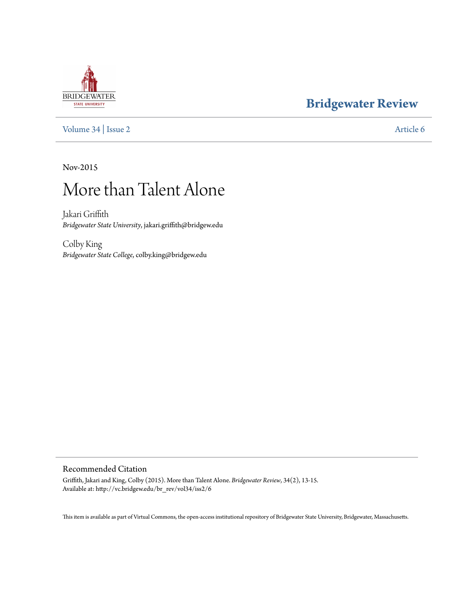## **[Bridgewater Review](http://vc.bridgew.edu/br_rev)**

[Volume 34](http://vc.bridgew.edu/br_rev/vol34) | [Issue 2](http://vc.bridgew.edu/br_rev/vol34/iss2) [Article 6](http://vc.bridgew.edu/br_rev/vol34/iss2/6)

Nov-2015

# More than Talent Alone

Jakari Griffith *Bridgewater State University*, jakari.griffith@bridgew.edu

Colby King *Bridgewater State College*, colby.king@bridgew.edu

### Recommended Citation

Griffith, Jakari and King, Colby (2015). More than Talent Alone. *Bridgewater Review*, 34(2), 13-15. Available at: http://vc.bridgew.edu/br\_rev/vol34/iss2/6

This item is available as part of Virtual Commons, the open-access institutional repository of Bridgewater State University, Bridgewater, Massachusetts.

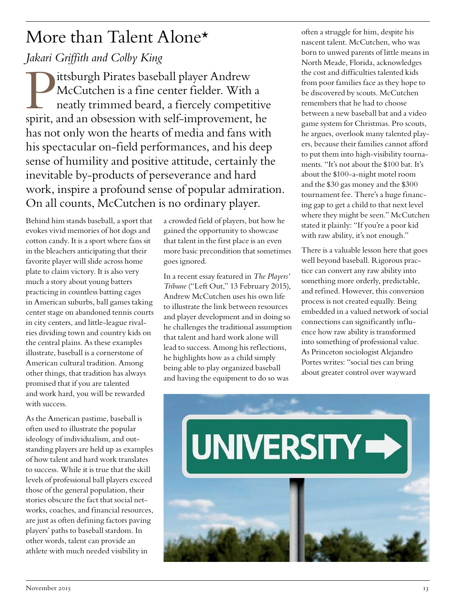# More than Talent Alone\*

### *Jakari Griffith and Colby King*

Pittsburgh Pirates baseball player Andrew McCutchen is a fine center fielder. With a neatly trimmed beard, a fiercely competitive spirit, and an obsession with self-improvement, he has not only won the hearts of media and fans with his spectacular on-field performances, and his deep sense of humility and positive attitude, certainly the inevitable by-products of perseverance and hard work, inspire a profound sense of popular admiration. On all counts, McCutchen is no ordinary player.

Behind him stands baseball, a sport that evokes vivid memories of hot dogs and cotton candy. It is a sport where fans sit in the bleachers anticipating that their favorite player will slide across home plate to claim victory. It is also very much a story about young batters practicing in countless batting cages in American suburbs, ball games taking center stage on abandoned tennis courts in city centers, and little-league rivalries dividing town and country kids on the central plains. As these examples illustrate, baseball is a cornerstone of American cultural tradition. Among other things, that tradition has always promised that if you are talented and work hard, you will be rewarded with success.

As the American pastime, baseball is often used to illustrate the popular ideology of individualism, and outstanding players are held up as examples of how talent and hard work translates to success. While it is true that the skill levels of professional ball players exceed those of the general population, their stories obscure the fact that social networks, coaches, and financial resources, are just as often defining factors paving players' paths to baseball stardom. In other words, talent can provide an athlete with much needed visibility in

a crowded field of players, but how he gained the opportunity to showcase that talent in the first place is an even more basic precondition that sometimes goes ignored.

In a recent essay featured in *The Players' Tribune* ("Left Out," 13 February 2015), Andrew McCutchen uses his own life to illustrate the link between resources and player development and in doing so he challenges the traditional assumption that talent and hard work alone will lead to success. Among his reflections, he highlights how as a child simply being able to play organized baseball and having the equipment to do so was

often a struggle for him, despite his nascent talent. McCutchen, who was born to unwed parents of little means in North Meade, Florida, acknowledges the cost and difficulties talented kids from poor families face as they hope to be discovered by scouts. McCutchen remembers that he had to choose between a new baseball bat and a video game system for Christmas. Pro scouts, he argues, overlook many talented players, because their families cannot afford to put them into high-visibility tournaments. "It's not about the \$100 bat. It's about the \$100-a-night motel room and the \$30 gas money and the \$300 tournament fee. There's a huge financing gap to get a child to that next level where they might be seen." McCutchen stated it plainly: "If you're a poor kid with raw ability, it's not enough."

There is a valuable lesson here that goes well beyond baseball. Rigorous practice can convert any raw ability into something more orderly, predictable, and refined. However, this conversion process is not created equally. Being embedded in a valued network of social connections can significantly influence how raw ability is transformed into something of professional value. As Princeton sociologist Alejandro Portes writes: "social ties can bring about greater control over wayward

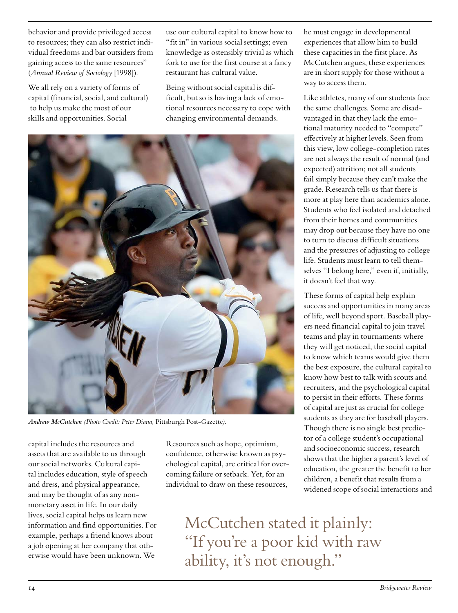behavior and provide privileged access to resources; they can also restrict individual freedoms and bar outsiders from gaining access to the same resources" (*Annual Review of Sociology* [1998]).

We all rely on a variety of forms of capital (financial, social, and cultural) to help us make the most of our skills and opportunities. Social

use our cultural capital to know how to "fit in" in various social settings; even knowledge as ostensibly trivial as which fork to use for the first course at a fancy restaurant has cultural value.

Being without social capital is difficult, but so is having a lack of emotional resources necessary to cope with changing environmental demands.



*Andrew McCutchen (Photo Credit: Peter Diana,* Pittsburgh Post-Gazette*).*

capital includes the resources and assets that are available to us through our social networks. Cultural capital includes education, style of speech and dress, and physical appearance, and may be thought of as any nonmonetary asset in life. In our daily lives, social capital helps us learn new information and find opportunities. For example, perhaps a friend knows about a job opening at her company that otherwise would have been unknown. We

Resources such as hope, optimism, confidence, otherwise known as psychological capital, are critical for overcoming failure or setback. Yet, for an individual to draw on these resources,

he must engage in developmental experiences that allow him to build these capacities in the first place. As McCutchen argues, these experiences are in short supply for those without a way to access them.

Like athletes, many of our students face the same challenges. Some are disadvantaged in that they lack the emotional maturity needed to "compete" effectively at higher levels. Seen from this view, low college-completion rates are not always the result of normal (and expected) attrition; not all students fail simply because they can't make the grade. Research tells us that there is more at play here than academics alone. Students who feel isolated and detached from their homes and communities may drop out because they have no one to turn to discuss difficult situations and the pressures of adjusting to college life. Students must learn to tell themselves "I belong here," even if, initially, it doesn't feel that way.

These forms of capital help explain success and opportunities in many areas of life, well beyond sport. Baseball players need financial capital to join travel teams and play in tournaments where they will get noticed, the social capital to know which teams would give them the best exposure, the cultural capital to know how best to talk with scouts and recruiters, and the psychological capital to persist in their efforts. These forms of capital are just as crucial for college students as they are for baseball players. Though there is no single best predictor of a college student's occupational and socioeconomic success, research shows that the higher a parent's level of education, the greater the benefit to her children, a benefit that results from a widened scope of social interactions and

McCutchen stated it plainly: "If you're a poor kid with raw ability, it's not enough."